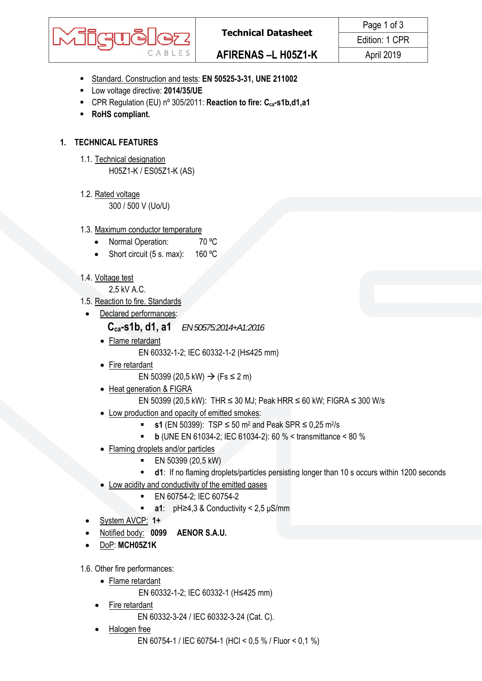

- Standard. Construction and tests: **EN 50525-3-31, UNE 211002**
- Low voltage directive: **2014/35/UE**
- CPR Regulation (EU) n<sup>o</sup> 305/2011: **Reaction to fire: C<sub>ca</sub>-s1b,d1,a1**
- **RoHS compliant.**

# **1. TECHNICAL FEATURES**

- 1.1. Technical designation H05Z1-K / ES05Z1-K (AS)
- 1.2. Rated voltage 300 / 500 V (Uo/U)

## 1.3. Maximum conductor temperature

- Normal Operation: 70 °C
- Short circuit (5 s. max): 160 °C

# 1.4. Voltage test

2,5 kV A.C.

- 1.5. Reaction to fire. Standards
	- Declared performances:

## **Cca-s1b, d1, a1** *EN 50575:2014+A1:2016*

- Flame retardant EN 60332-1-2; IEC 60332-1-2 (H≤425 mm)
- Fire retardant

EN 50399 (20,5 kW) → (Fs ≤ 2 m)

- Heat generation & FIGRA
	- EN 50399 (20,5 kW): THR ≤ 30 MJ; Peak HRR ≤ 60 kW; FIGRA ≤ 300 W/s
- Low production and opacity of emitted smokes:
	- **s1** (EN 50399): TSP ≤ 50 m2 and Peak SPR ≤ 0,25 m2/s
	- **b** (UNE EN 61034-2; IEC 61034-2): 60 % < transmittance < 80 %
- Flaming droplets and/or particles
	- **EN 50399 (20,5 kW)**
	- **d1**: If no flaming droplets/particles persisting longer than 10 s occurs within 1200 seconds
- Low acidity and conductivity of the emitted gases
	- **EN 60754-2; IEC 60754-2**
	- **a1**: pH≥4,3 & Conductivity < 2,5 μS/mm
- System AVCP: **1+**
- Notified body: **0099 AENOR S.A.U.**
- DoP: **MCH05Z1K**

1.6. Other fire performances:

Flame retardant

EN 60332-1-2; IEC 60332-1 (H≤425 mm)

Fire retardant

EN 60332-3-24 / IEC 60332-3-24 (Cat. C).

Halogen free

EN 60754-1 / IEC 60754-1 (HCl < 0,5 % / Fluor < 0,1 %)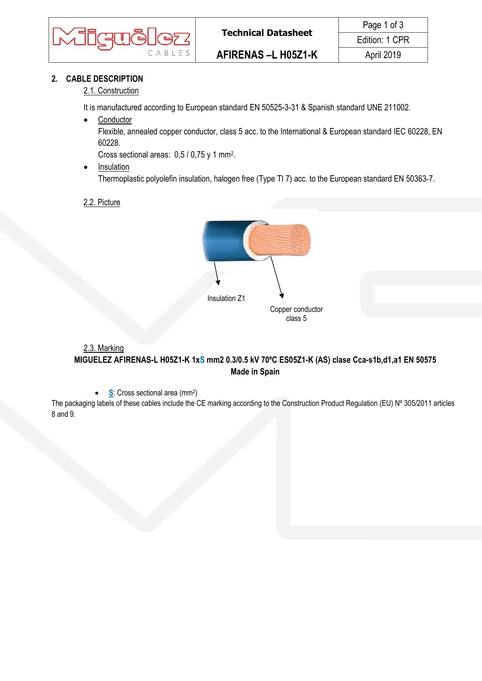

## **2. CABLE DESCRIPTION**

### 2.1. Construction

It is manufactured according to European standard EN 50525-3-31 & Spanish standard UNE 211002.

• Conductor

Flexible, annealed copper conductor, class 5 acc. to the International & European standard IEC 60228, EN 60228.

Cross sectional areas: 0,5 / 0,75 y 1 mm2.

- Insulation Thermoplastic polyolefin insulation, halogen free (Type TI 7) acc. to the European standard EN 50363-7.
- 2.2. Picture



## 2.3. Marking **MIGUELEZ AFIRENAS-L H05Z1-K 1xS mm2 0.3/0.5 kV 70ºC ES05Z1-K (AS) clase Cca-s1b,d1,a1 EN 50575 Made in Spain**

**S**: Cross sectional area (mm<sup>2</sup>)

The packaging labels of these cables include the CE marking according to the Construction Product Regulation (EU) Nº 305/2011 articles 8 and 9.